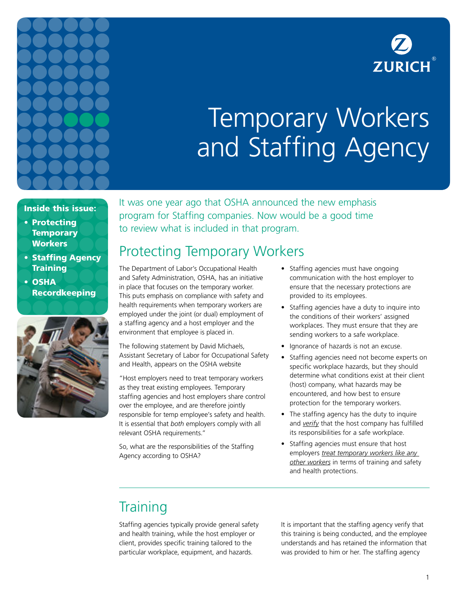



# Temporary Workers and Staffing Agency

#### Inside this issue:

- Protecting **Temporary Workers**
- Staffing Agency **Training**
- OSHA Recordkeeping



It was one year ago that OSHA announced the new emphasis program for Staffing companies. Now would be a good time to review what is included in that program.

## Protecting Temporary Workers

The Department of Labor's Occupational Health and Safety Administration, OSHA, has an initiative in place that focuses on the temporary worker. This puts emphasis on compliance with safety and health requirements when temporary workers are employed under the joint (or dual) employment of a staffing agency and a host employer and the environment that employee is placed in.

The following statement by David Michaels, Assistant Secretary of Labor for Occupational Safety and Health, appears on the OSHA website

"Host employers need to treat temporary workers as they treat existing employees. Temporary staffing agencies and host employers share control over the employee, and are therefore jointly responsible for temp employee's safety and health. It is essential that *both* employers comply with all relevant OSHA requirements."

So, what are the responsibilities of the Staffing Agency according to OSHA?

- Staffing agencies must have ongoing communication with the host employer to ensure that the necessary protections are provided to its employees.
- Staffing agencies have a duty to inquire into the conditions of their workers' assigned workplaces. They must ensure that they are sending workers to a safe workplace.
- Ignorance of hazards is not an excuse.
- Staffing agencies need not become experts on specific workplace hazards, but they should determine what conditions exist at their client (host) company, what hazards may be encountered, and how best to ensure protection for the temporary workers.
- The staffing agency has the duty to inquire and *verify* that the host company has fulfilled its responsibilities for a safe workplace.
- Staffing agencies must ensure that host employers *treat temporary workers like any other workers* in terms of training and safety and health protections.

## **Training**

Staffing agencies typically provide general safety and health training, while the host employer or client, provides specific training tailored to the particular workplace, equipment, and hazards.

It is important that the staffing agency verify that this training is being conducted, and the employee understands and has retained the information that was provided to him or her. The staffing agency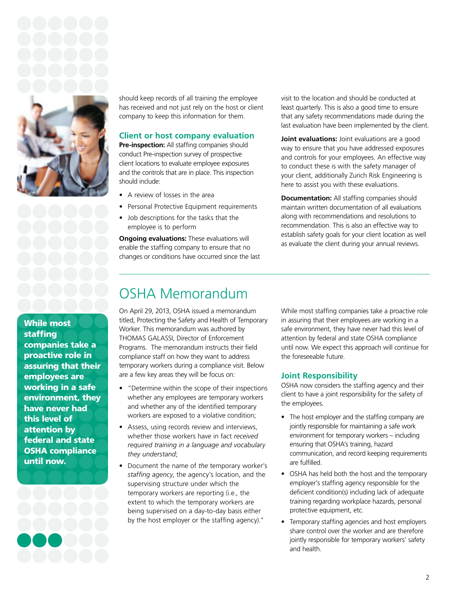

While most staffing companies take a proactive role in assuring that their employees are working in a safe environment, they have never had this level of attention by federal and state OSHA compliance until now.

should keep records of all training the employee has received and not just rely on the host or client company to keep this information for them.

#### **Client or host company evaluation**

**Pre-inspection:** All staffing companies should conduct Pre-inspection survey of prospective client locations to evaluate employee exposures and the controls that are in place. This inspection should include:

- A review of losses in the area
- Personal Protective Equipment requirements
- Job descriptions for the tasks that the employee is to perform

**Ongoing evaluations:** These evaluations will enable the staffing company to ensure that no changes or conditions have occurred since the last visit to the location and should be conducted at least quarterly. This is also a good time to ensure that any safety recommendations made during the last evaluation have been implemented by the client.

**Joint evaluations:** Joint evaluations are a good way to ensure that you have addressed exposures and controls for your employees. An effective way to conduct these is with the safety manager of your client, additionally Zurich Risk Engineering is here to assist you with these evaluations.

**Documentation:** All staffing companies should maintain written documentation of all evaluations along with recommendations and resolutions to recommendation. This is also an effective way to establish safety goals for your client location as well as evaluate the client during your annual reviews.

## OSHA Memorandum

On April 29, 2013, OSHA issued a memorandum titled, Protecting the Safety and Health of Temporary Worker. This memorandum was authored by THOMAS GALASSI, Director of Enforcement Programs. The memorandum instructs their field compliance staff on how they want to address temporary workers during a compliance visit. Below are a few key areas they will be focus on:

- "Determine within the scope of their inspections whether any employees are temporary workers and whether any of the identified temporary workers are exposed to a violative condition;
- Assess, using records review and interviews, whether those workers have in fact *received required training in a language and vocabulary they understand*;
- Document the name of *the* temporary worker's *staffing agency*, the agency's location, and the supervising structure under which the temporary workers are reporting (i.e., the extent to which the temporary workers are being supervised on a day-to-day basis either by the host employer or the staffing agency)."

While most staffing companies take a proactive role in assuring that their employees are working in a safe environment, they have never had this level of attention by federal and state OSHA compliance until now. We expect this approach will continue for the foreseeable future.

### **Joint Responsibility**

OSHA now considers the staffing agency and their client to have a joint responsibility for the safety of the employees.

- The host employer and the staffing company are jointly responsible for maintaining a safe work environment for temporary workers – including ensuring that OSHA's training, hazard communication, and record keeping requirements are fulfilled.
- OSHA has held both the host and the temporary employer's staffing agency responsible for the deficient condition(s) including lack of adequate training regarding workplace hazards, personal protective equipment, etc.
- Temporary staffing agencies and host employers share control over the worker and are therefore jointly responsible for temporary workers' safety and health.